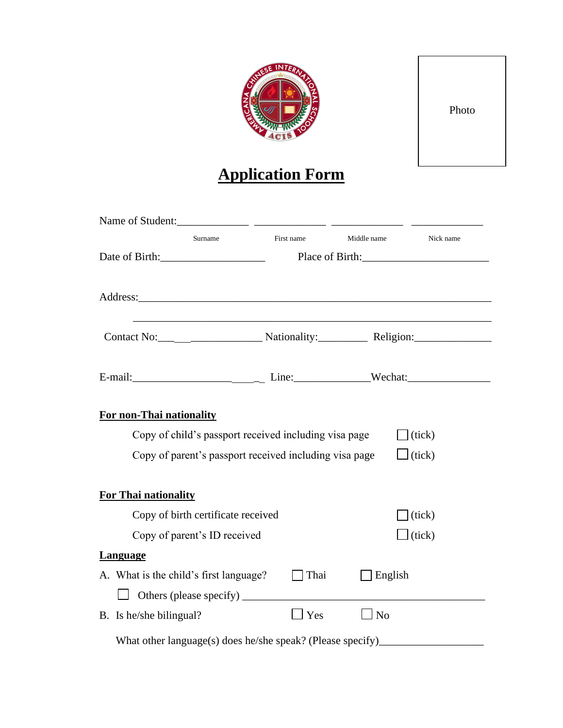

Photo

# **Application Form**

| Surname<br>Date of Birth:                                           | First name |                | Middle name<br>Place of Birth: | Nick name     |
|---------------------------------------------------------------------|------------|----------------|--------------------------------|---------------|
|                                                                     |            |                |                                |               |
|                                                                     |            |                |                                |               |
|                                                                     |            |                |                                |               |
| For non-Thai nationality                                            |            |                |                                |               |
| Copy of child's passport received including visa page               |            |                |                                | (tick)        |
| Copy of parent's passport received including visa page              |            |                |                                | $\Box$ (tick) |
| <b>For Thai nationality</b>                                         |            |                |                                |               |
| Copy of birth certificate received                                  |            |                |                                | (tick)        |
| Copy of parent's ID received                                        |            |                |                                | $\Box$ (tick) |
| <b>Language</b>                                                     |            |                |                                |               |
| A. What is the child's first language?                              |            | $\Box$ Thai    | English                        |               |
| Others (please specify)                                             |            |                |                                |               |
| B. Is he/she bilingual?                                             |            | $\mathbf{Yes}$ | $\Box$ No                      |               |
| $\mathbf{V}^{\mathsf{H}}$ (1 1 $\sqrt{1}$ 1 $\sqrt{1}$ 1 $\sqrt{1}$ |            |                | $\cdot$ $\sim$ $\cdot$         |               |

What other language(s) does he/she speak? (Please specify)\_\_\_\_\_\_\_\_\_\_\_\_\_\_\_\_\_\_\_\_\_\_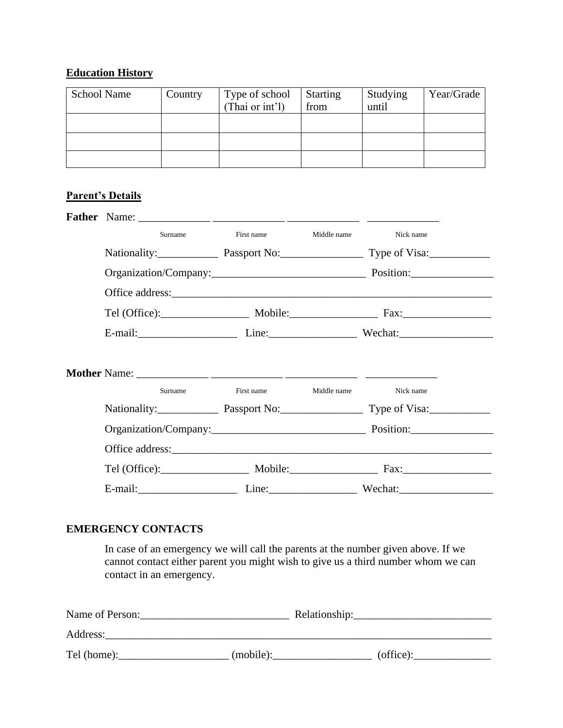## **Education History**

| <b>School Name</b> | Country | Type of school<br>(Thai or int'l) | <b>Starting</b><br>from | Studying<br>until | Year/Grade |
|--------------------|---------|-----------------------------------|-------------------------|-------------------|------------|
|                    |         |                                   |                         |                   |            |
|                    |         |                                   |                         |                   |            |
|                    |         |                                   |                         |                   |            |
|                    |         |                                   |                         |                   |            |

## **Parent's Details**

| Surname | First name             | Middle name | Nick name                               |
|---------|------------------------|-------------|-----------------------------------------|
|         |                        |             | Nationality: Passport No: Type of Visa: |
|         |                        |             |                                         |
|         |                        |             |                                         |
|         |                        |             |                                         |
|         |                        |             | E-mail: Line: Line: Wechat:             |
| Surname | First name Middle name |             | Nick name                               |
|         |                        |             | Nationality: Passport No: Type of Visa: |
|         |                        |             |                                         |
|         |                        |             |                                         |
|         |                        |             |                                         |
|         |                        |             |                                         |

## **EMERGENCY CONTACTS**

In case of an emergency we will call the parents at the number given above. If we cannot contact either parent you might wish to give us a third number whom we can contact in an emergency.

| Name of Person: | Relationship: |           |
|-----------------|---------------|-----------|
| Address:        |               |           |
| Tel (home):     | (mobile):     | (office): |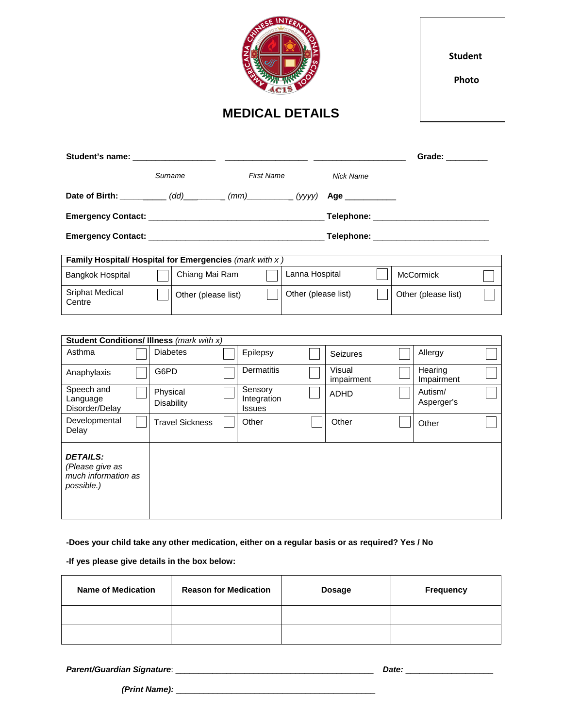| NESE INTERN<br><b>MEDICAL DETAILS</b>                                   |                 |                        |  |                                         |                     | <b>Student</b><br>Photo              |  |                       |  |
|-------------------------------------------------------------------------|-----------------|------------------------|--|-----------------------------------------|---------------------|--------------------------------------|--|-----------------------|--|
|                                                                         |                 |                        |  |                                         |                     |                                      |  | Grade: ________       |  |
|                                                                         | Surname         |                        |  | <b>First Name</b>                       |                     | <b>Nick Name</b>                     |  |                       |  |
| Date of Birth: __________(dd)________(mm)________(yyyy) Age _________   |                 |                        |  |                                         |                     |                                      |  |                       |  |
|                                                                         |                 |                        |  |                                         |                     |                                      |  |                       |  |
|                                                                         |                 |                        |  |                                         |                     | Telephone: _________________________ |  |                       |  |
| Family Hospital/ Hospital for Emergencies (mark with x)                 |                 |                        |  |                                         |                     |                                      |  |                       |  |
| Bangkok Hospital                                                        |                 | Chiang Mai Ram         |  |                                         | Lanna Hospital      |                                      |  | <b>McCormick</b>      |  |
| Sriphat Medical<br>Centre                                               |                 | Other (please list)    |  |                                         | Other (please list) |                                      |  | Other (please list)   |  |
|                                                                         |                 |                        |  |                                         |                     |                                      |  |                       |  |
| <b>Student Conditions/ Illness (mark with x)</b><br>Asthma              | <b>Diabetes</b> |                        |  | Epilepsy                                |                     |                                      |  | Allergy               |  |
|                                                                         |                 |                        |  |                                         |                     | Seizures                             |  |                       |  |
| Anaphylaxis                                                             | G6PD            |                        |  | Dermatitis                              |                     | Visual<br>impairment                 |  | Hearing<br>Impairment |  |
| Speech and<br>Language<br>Disorder/Delay                                | Physical        | <b>Disability</b>      |  | Sensory<br>Integration<br><b>Issues</b> |                     | <b>ADHD</b>                          |  | Autism/<br>Asperger's |  |
| Developmental<br>Delay                                                  |                 | <b>Travel Sickness</b> |  | Other                                   |                     | Other                                |  | Other                 |  |
| <b>DETAILS:</b><br>(Please give as<br>much information as<br>possible.) |                 |                        |  |                                         |                     |                                      |  |                       |  |

**-Does your child take any other medication, either on a regular basis or as required? Yes / No** 

**-If yes please give details in the box below:** 

| <b>Name of Medication</b> | <b>Reason for Medication</b> | Dosage | <b>Frequency</b> |
|---------------------------|------------------------------|--------|------------------|
|                           |                              |        |                  |
|                           |                              |        |                  |

*Parent/Guardian Signature*: \_\_\_\_\_\_\_\_\_\_\_\_\_\_\_\_\_\_\_\_\_\_\_\_\_\_\_\_\_\_\_\_\_\_\_\_\_\_\_\_\_\_\_ *Date:* \_\_\_\_\_\_\_\_\_\_\_\_\_\_\_\_\_\_\_

 *(Print Name):* \_\_\_\_\_\_\_\_\_\_\_\_\_\_\_\_\_\_\_\_\_\_\_\_\_\_\_\_\_\_\_\_\_\_\_\_\_\_\_\_\_\_\_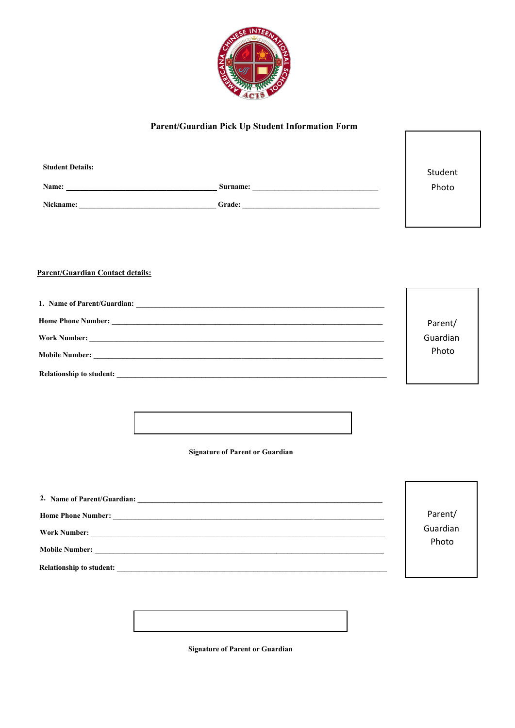

### Parent/Guardian Pick Up Student Information Form

| <b>Student Details:</b> |          | Student |
|-------------------------|----------|---------|
| Name:                   | Surname: | Photo   |
| Nickname:               | Grade:   |         |

#### **Parent/Guardian Contact details:**

| Parent/  |
|----------|
| Guardian |
| Photo    |
|          |

**Signature of Parent or Guardian** 

| <b>Home Phone Number:</b><br><u> 1980 - Jan Alexander (f. 1980)</u>                                                                         | Parent/  |
|---------------------------------------------------------------------------------------------------------------------------------------------|----------|
| <b>Work Number:</b><br><u> 1989 - Johann Stein, mars an deutscher Stein und der Stein und der Stein und der Stein und der Stein und der</u> | Guardian |
|                                                                                                                                             | Photo    |
| Relationship to student:                                                                                                                    |          |



**Signature of Parent or Guardian**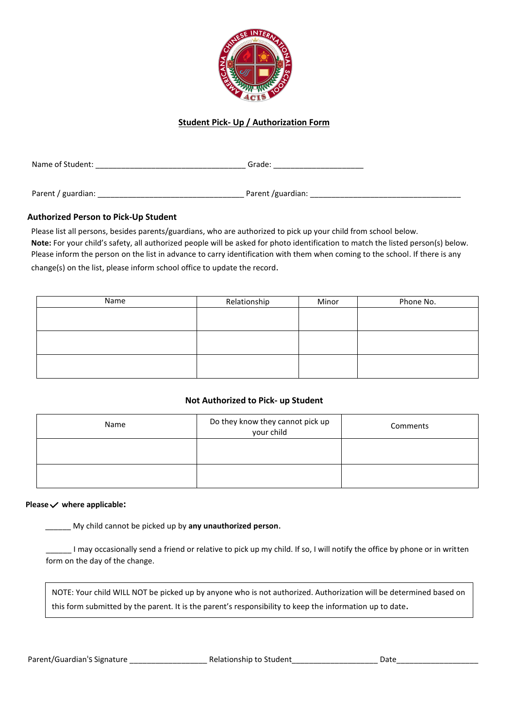

#### **Student Pick- Up / Authorization Form**

| Name of Student:   | Grade:            |  |
|--------------------|-------------------|--|
|                    |                   |  |
| Parent / guardian: | Parent /guardian: |  |

#### **Authorized Person to Pick-Up Student**

 Please list all persons, besides parents/guardians, who are authorized to pick up your child from school below. Please inform the person on the list in advance to carry identification with them when coming to the school. If there is any **Note:** For your child's safety, all authorized people will be asked for photo identification to match the listed person(s) below. change(s) on the list, please inform school office to update the record.

| Name | Relationship | Minor | Phone No. |
|------|--------------|-------|-----------|
|      |              |       |           |
|      |              |       |           |
|      |              |       |           |
|      |              |       |           |
|      |              |       |           |
|      |              |       |           |

#### **Not Authorized to Pick- up Student**

| Name | Do they know they cannot pick up<br>your child | Comments |
|------|------------------------------------------------|----------|
|      |                                                |          |
|      |                                                |          |

#### **Please where applicable:**

\_\_\_\_\_\_ My child cannot be picked up by **any unauthorized person**.

\_\_\_\_\_\_ I may occasionally send a friend or relative to pick up my child. If so, I will notify the office by phone or in written form on the day of the change.

NOTE: Your child WILL NOT be picked up by anyone who is not authorized. Authorization will be determined based on this form submitted by the parent. It is the parent's responsibility to keep the information up to date.

Parent/Guardian's Signature extending the Relationship to Student and Date Date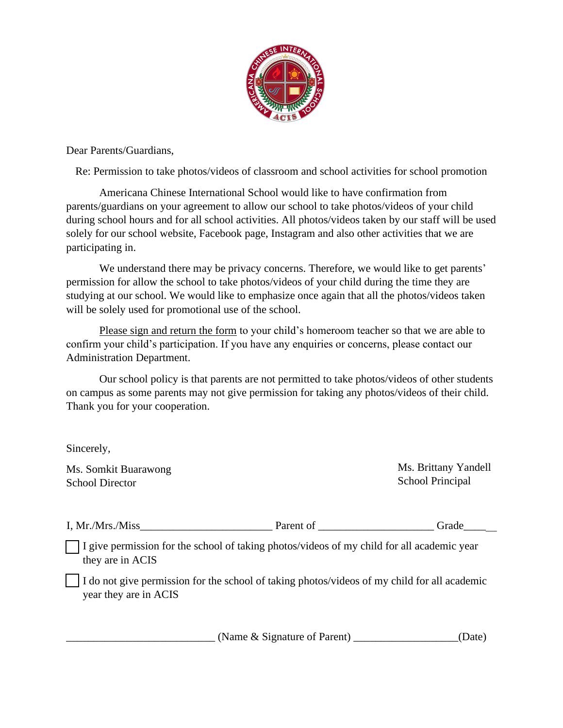

Dear Parents/Guardians,

Re: Permission to take photos/videos of classroom and school activities for school promotion

Americana Chinese International School would like to have confirmation from parents/guardians on your agreement to allow our school to take photos/videos of your child during school hours and for all school activities. All photos/videos taken by our staff will be used solely for our school website, Facebook page, Instagram and also other activities that we are participating in.

We understand there may be privacy concerns. Therefore, we would like to get parents' permission for allow the school to take photos/videos of your child during the time they are studying at our school. We would like to emphasize once again that all the photos/videos taken will be solely used for promotional use of the school.

Please sign and return the form to your child's homeroom teacher so that we are able to confirm your child's participation. If you have any enquiries or concerns, please contact our Administration Department.

Our school policy is that parents are not permitted to take photos/videos of other students on campus as some parents may not give permission for taking any photos/videos of their child. Thank you for your cooperation.

Sincerely,

Ms. Somkit Buarawong School Director

Ms. Brittany Yandell School Principal

| I, Mr./Mrs./<br>/Miss | arent of | الصحية<br>21 C 16 |
|-----------------------|----------|-------------------|
|                       |          |                   |

I give permission for the school of taking photos/videos of my child for all academic year they are in ACIS

I do not give permission for the school of taking photos/videos of my child for all academic year they are in ACIS

(Name & Signature of Parent) \_\_\_\_\_\_\_\_\_\_\_\_\_\_\_\_(Date)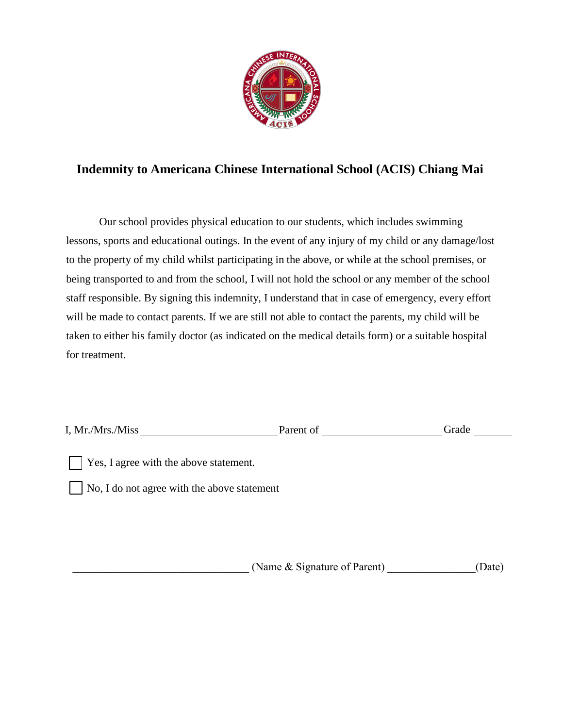

## **Indemnity to Americana Chinese International School (ACIS) Chiang Mai**

Our school provides physical education to our students, which includes swimming lessons, sports and educational outings. In the event of any injury of my child or any damage/lost to the property of my child whilst participating in the above, or while at the school premises, or being transported to and from the school, I will not hold the school or any member of the school staff responsible. By signing this indemnity, I understand that in case of emergency, every effort will be made to contact parents. If we are still not able to contact the parents, my child will be taken to either his family doctor (as indicated on the medical details form) or a suitable hospital for treatment.

| I, Mr./Mrs./Miss                       | Parent of | Grade |
|----------------------------------------|-----------|-------|
| Yes, I agree with the above statement. |           |       |

No, I do not agree with the above statement

(Name & Signature of Parent) (Date)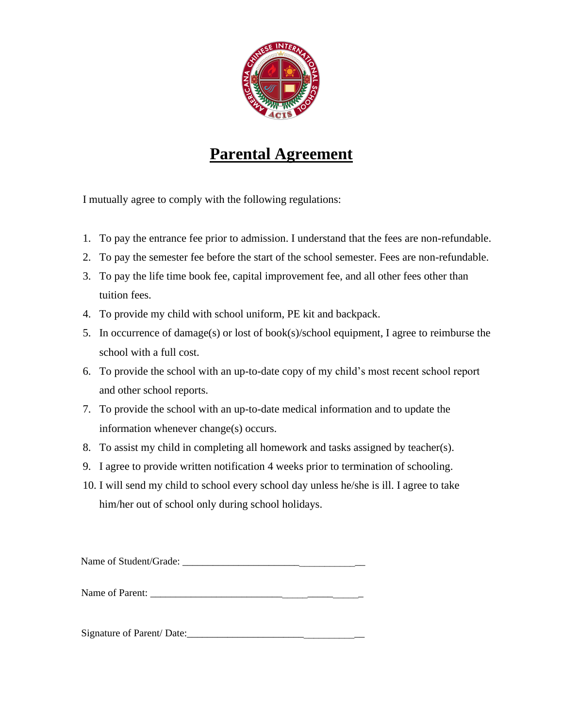

## **Parental Agreement**

I mutually agree to comply with the following regulations:

- 1. To pay the entrance fee prior to admission. I understand that the fees are non-refundable.
- 2. To pay the semester fee before the start of the school semester. Fees are non-refundable.
- 3. To pay the life time book fee, capital improvement fee, and all other fees other than tuition fees.
- 4. To provide my child with school uniform, PE kit and backpack.
- 5. In occurrence of damage(s) or lost of book(s)/school equipment, I agree to reimburse the school with a full cost.
- 6. To provide the school with an up-to-date copy of my child's most recent school report and other school reports.
- 7. To provide the school with an up-to-date medical information and to update the information whenever change(s) occurs.
- 8. To assist my child in completing all homework and tasks assigned by teacher(s).
- 9. I agree to provide written notification 4 weeks prior to termination of schooling.
- 10. I will send my child to school every school day unless he/she is ill. I agree to take him/her out of school only during school holidays.

Name of Student/Grade: \_\_\_\_\_\_\_\_\_\_\_\_\_\_\_\_\_\_\_\_\_\_\_\_\_\_\_\_\_\_\_\_\_\_\_\_

Name of Parent:

Signature of Parent/ Date: